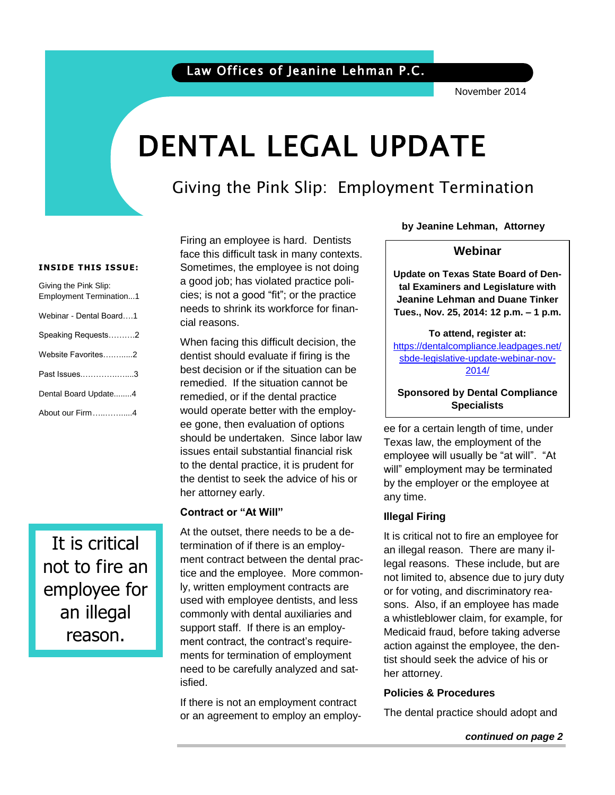### Law Offices of Jeanine Lehman P.C.

November 2014

# DENTAL LEGAL UPDATE

### Giving the Pink Slip: Employment Termination

#### **INSIDE THIS ISSUE:**

| Giving the Pink Slip:<br><b>Employment Termination1</b> |
|---------------------------------------------------------|
| Webinar - Dental Board1                                 |
| Speaking Requests2                                      |
| Website Favorites2                                      |
| Past Issues3                                            |
| Dental Board Update4                                    |
| About our Firm4                                         |

It is critical not to fire an employee for an illegal reason.

Firing an employee is hard. Dentists face this difficult task in many contexts. Sometimes, the employee is not doing a good job; has violated practice policies; is not a good "fit"; or the practice needs to shrink its workforce for financial reasons.

When facing this difficult decision, the dentist should evaluate if firing is the best decision or if the situation can be remedied. If the situation cannot be remedied, or if the dental practice would operate better with the employee gone, then evaluation of options should be undertaken. Since labor law issues entail substantial financial risk to the dental practice, it is prudent for the dentist to seek the advice of his or her attorney early.

#### **Contract or "At Will"**

At the outset, there needs to be a determination of if there is an employment contract between the dental practice and the employee. More commonly, written employment contracts are used with employee dentists, and less commonly with dental auxiliaries and support staff. If there is an employment contract, the contract's requirements for termination of employment need to be carefully analyzed and satisfied.

If there is not an employment contract or an agreement to employ an employ**by Jeanine Lehman, Attorney**

#### **Webinar**

 **Update on Texas State Board of Den**by Jeanine Lehman, At-**Tues., Nov. 25, 2014: 12 p.m. – 1 p.m. tal Examiners and Legislature with Jeanine Lehman and Duane Tinker**

torney in the second second second second second second second second second second second second second second second second second second second second second second second second second second second second second secon **To attend, register at:**  [https://dentalcompliance.leadpages.net/](https://attendee.gotowebinar.com/register/4418791358883928834) [sbde-legislative-update-webinar-nov-](https://attendee.gotowebinar.com/register/4418791358883928834)[2014/](https://attendee.gotowebinar.com/register/4418791358883928834)

#### **Sponsored by Dental Compliance Specialists**

ee for a certain length of time, under Texas law, the employment of the employee will usually be "at will". "At will" employment may be terminated by the employer or the employee at any time.

#### **Illegal Firing**

It is critical not to fire an employee for an illegal reason. There are many illegal reasons. These include, but are not limited to, absence due to jury duty or for voting, and discriminatory reasons. Also, if an employee has made a whistleblower claim, for example, for Medicaid fraud, before taking adverse action against the employee, the dentist should seek the advice of his or her attorney.

#### **Policies & Procedures**

The dental practice should adopt and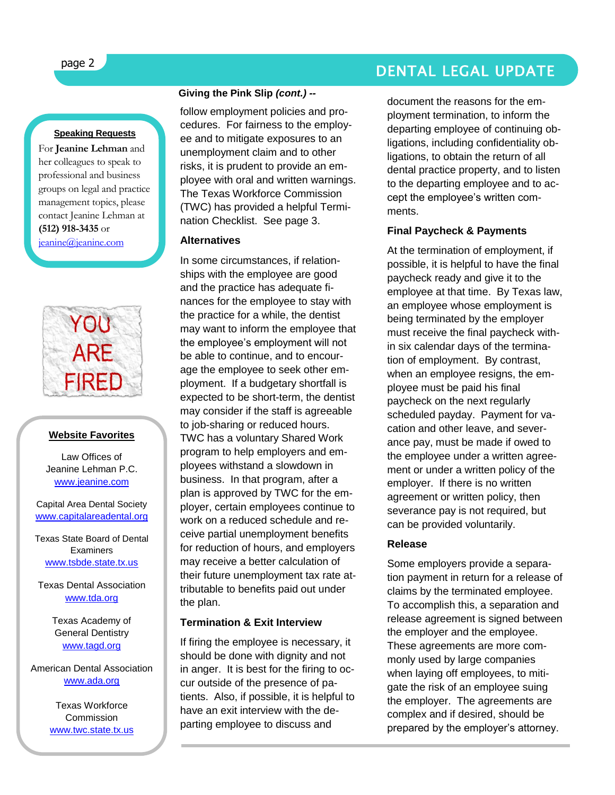### page 2 DENTAL LEGAL UPDATE

#### **Speaking Requests**

For **Jeanine Lehman** and her colleagues to speak to professional and business groups on legal and practice management topics, please contact Jeanine Lehman at **(512) 918-3435** or [jeanine@jeanine.com](mailto:jeanine@jeanine.com)



ļ

#### **Website Favorites**

Law Offices of Jeanine Lehman P.C. [www.jeanine.com](http://www.jeanine.com/)

Capital Area Dental Society [www.capitalareadental.org](http://www.capitalareadental.org/)

Texas State Board of Dental **Examiners** [www.tsbde.state.tx.us](http://www.tsbde.state.tx.us/)

Texas Dental Association [www.tda.org](http://www.tda.org/)

> Texas Academy of General Dentistry [www.tagd.org](http://www.tagd.org/)

American Dental Association [www.ada.org](http://www.ada.org/)

> Texas Workforce **Commission** [www.twc.state.tx.us](http://www.twc.state.tx.us/)

#### **Giving the Pink Slip** *(cont.) --*

follow employment policies and procedures. For fairness to the employee and to mitigate exposures to an unemployment claim and to other risks, it is prudent to provide an employee with oral and written warnings. The Texas Workforce Commission (TWC) has provided a helpful Termination Checklist. See page 3.

#### **Alternatives**

In some circumstances, if relationships with the employee are good and the practice has adequate finances for the employee to stay with the practice for a while, the dentist may want to inform the employee that the employee's employment will not be able to continue, and to encourage the employee to seek other employment. If a budgetary shortfall is expected to be short-term, the dentist may consider if the staff is agreeable to job-sharing or reduced hours. TWC has a voluntary Shared Work program to help employers and employees withstand a slowdown in business. In that program, after a plan is approved by TWC for the employer, certain employees continue to work on a reduced schedule and receive partial unemployment benefits for reduction of hours, and employers may receive a better calculation of their future unemployment tax rate attributable to benefits paid out under the plan.

#### **Termination & Exit Interview**

If firing the employee is necessary, it should be done with dignity and not in anger. It is best for the firing to occur outside of the presence of patients. Also, if possible, it is helpful to have an exit interview with the departing employee to discuss and

document the reasons for the employment termination, to inform the departing employee of continuing obligations, including confidentiality obligations, to obtain the return of all dental practice property, and to listen to the departing employee and to accept the employee's written comments.

#### **Final Paycheck & Payments**

At the termination of employment, if possible, it is helpful to have the final paycheck ready and give it to the employee at that time. By Texas law, an employee whose employment is being terminated by the employer must receive the final paycheck within six calendar days of the termination of employment. By contrast, when an employee resigns, the employee must be paid his final paycheck on the next regularly scheduled payday. Payment for vacation and other leave, and severance pay, must be made if owed to the employee under a written agreement or under a written policy of the employer. If there is no written agreement or written policy, then severance pay is not required, but can be provided voluntarily.

#### **Release**

Some employers provide a separation payment in return for a release of claims by the terminated employee. To accomplish this, a separation and release agreement is signed between the employer and the employee. These agreements are more commonly used by large companies when laying off employees, to mitigate the risk of an employee suing the employer. The agreements are complex and if desired, should be prepared by the employer's attorney.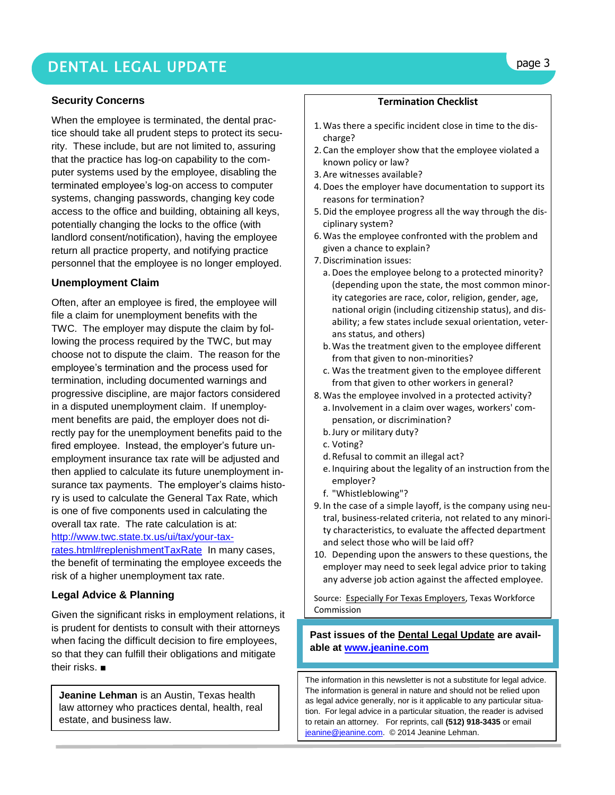### DENTAL LEGAL UPDATE **page 3**

#### **Security Concerns**

When the employee is terminated, the dental practice should take all prudent steps to protect its security. These include, but are not limited to, assuring that the practice has log-on capability to the computer systems used by the employee, disabling the terminated employee's log-on access to computer systems, changing passwords, changing key code access to the office and building, obtaining all keys, potentially changing the locks to the office (with landlord consent/notification), having the employee return all practice property, and notifying practice personnel that the employee is no longer employed.

#### **Unemployment Claim**

Often, after an employee is fired, the employee will file a claim for unemployment benefits with the TWC. The employer may dispute the claim by following the process required by the TWC, but may choose not to dispute the claim. The reason for the employee's termination and the process used for termination, including documented warnings and progressive discipline, are major factors considered in a disputed unemployment claim. If unemployment benefits are paid, the employer does not directly pay for the unemployment benefits paid to the fired employee. Instead, the employer's future unemployment insurance tax rate will be adjusted and then applied to calculate its future unemployment insurance tax payments. The employer's claims history is used to calculate the General Tax Rate, which is one of five components used in calculating the overall tax rate. The rate calculation is at: [http://www.twc.state.tx.us/ui/tax/your-tax](http://www.twc.state.tx.us/ui/tax/your-tax-rates.html#replenishmentTaxRate)[rates.html#replenishmentTaxRate](http://www.twc.state.tx.us/ui/tax/your-tax-rates.html#replenishmentTaxRate) In many cases, the benefit of terminating the employee exceeds the risk of a higher unemployment tax rate.

#### **Legal Advice & Planning**

Given the significant risks in employment relations, it is prudent for dentists to consult with their attorneys when facing the difficult decision to fire employees, so that they can fulfill their obligations and mitigate their risks. ■

**Jeanine Lehman** is an Austin, Texas health law attorney who practices dental, health, real estate, and business law.

#### **Termination Checklist**

- 1.Was there a specific incident close in time to the discharge?
- 2. Can the employer show that the employee violated a known policy or law?
- 3. Are [witnesses](http://www.twc.state.tx.us/news/efte/ui_law_the_claim_and_appeal_process.html#evidence) available?
- 4.Does the employer have [documentation](http://www.twc.state.tx.us/news/efte/ui_law_the_claim_and_appeal_process.html#evidence) to support its reasons for termination?
- 5.Did the employee progress all the way through the [dis](http://www.twc.state.tx.us/news/efte/discipline.html)[ciplinary system?](http://www.twc.state.tx.us/news/efte/discipline.html)
- 6.Was the employee confronted with the problem and given a chance to explain?
- 7.Discrimination issues:
	- a. Does the employee belong to a protected minority? (depending upon the state, the most common minority categories are race, color, religion, gender, age, national origin (including citizenship status), and disability; a few states include sexual orientation, veterans status, and others)
	- b.Was the treatment given to the employee different from that given to non-minorities?
	- c. Was the treatment given to the employee different from that given to other workers in general?
- 8.Was the employee involved in a protected activity?
	- a. Involvement in a claim over wages[, workers' com](http://www.twc.state.tx.us/news/efte/workers_compensation.html)[pensation,](http://www.twc.state.tx.us/news/efte/workers_compensation.html) or discrimination?
	- b[.Jury](http://www.twc.state.tx.us/news/efte/jury_duty.html) o[r military duty?](http://www.twc.state.tx.us/news/efte/legal_issues_for_military_leave.html)
	- c. [Voting?](http://www.twc.state.tx.us/news/efte/voting_time_off.html)
	- d.Refusal to commit an illegal act?
	- e. Inquiring about the legality of an instruction from the employer?
	- f. "Whistleblowing"?
- 9. In the case of a simple layoff, is the company using neutral, business-related criteria, not related to any minority characteristics, to evaluate the affected department and select those who will be laid off?
- 10. Depending upon the answers to these questions, the employer may need to seek legal advice prior to taking any adverse job action against the affected employee.

Source: Especially For Texas Employers, Texas Workforce Commission

**Past issues of the Dental Legal Update are available at [www.jeanine.com](http://www.jeanine.com/)**

The information in this newsletter is not a substitute for legal advice. The information is general in nature and should not be relied upon as legal advice generally, nor is it applicable to any particular situation. For legal advice in a particular situation, the reader is advised to retain an attorney. For reprints, call **(512) 918-3435** or email [jeanine@jeanine.com.](mailto:jeanine@jeanine.com) © 2014 Jeanine Lehman.